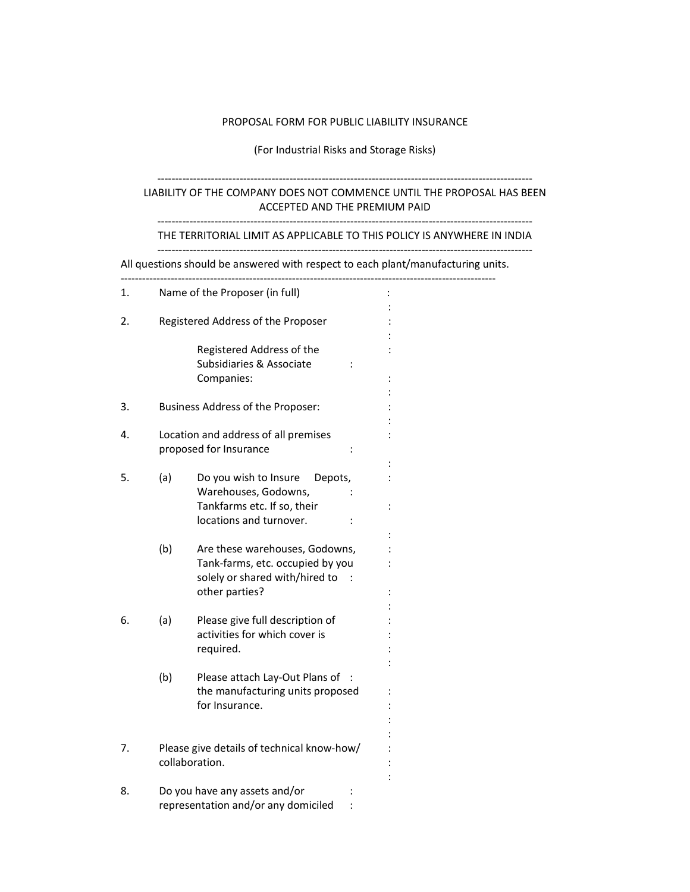#### PROPOSAL FORM FOR PUBLIC LIABILITY INSURANCE

### (For Industrial Risks and Storage Risks)

# --------------------------------------------------------------------------------------------------------- LIABILITY OF THE COMPANY DOES NOT COMMENCE UNTIL THE PROPOSAL HAS BEEN ACCEPTED AND THE PREMIUM PAID

#### --------------------------------------------------------------------------------------------------------- THE TERRITORIAL LIMIT AS APPLICABLE TO THIS POLICY IS ANYWHERE IN INDIA ---------------------------------------------------------------------------------------------------------

All questions should be answered with respect to each plant/manufacturing units.

| 1. | Name of the Proposer (in full)     |                                                                                                                        |                      |
|----|------------------------------------|------------------------------------------------------------------------------------------------------------------------|----------------------|
| 2. | Registered Address of the Proposer |                                                                                                                        |                      |
|    |                                    | Registered Address of the<br>Subsidiaries & Associate<br>Companies:                                                    |                      |
| 3. |                                    | Business Address of the Proposer:                                                                                      |                      |
| 4. |                                    | Location and address of all premises<br>proposed for Insurance                                                         |                      |
| 5. | (a)                                | Do you wish to Insure<br>Depots,<br>Warehouses, Godowns,<br>Tankfarms etc. If so, their<br>locations and turnover.     | $\ddot{\phantom{0}}$ |
|    | (b)                                | Are these warehouses, Godowns,<br>Tank-farms, etc. occupied by you<br>solely or shared with/hired to<br>other parties? |                      |
| 6. | (a)                                | Please give full description of<br>activities for which cover is<br>required.                                          |                      |
|    | (b)                                | Please attach Lay-Out Plans of<br>the manufacturing units proposed<br>for Insurance.                                   |                      |
| 7. | collaboration.                     | Please give details of technical know-how/                                                                             |                      |
| 8. |                                    | Do you have any assets and/or<br>representation and/or any domiciled                                                   |                      |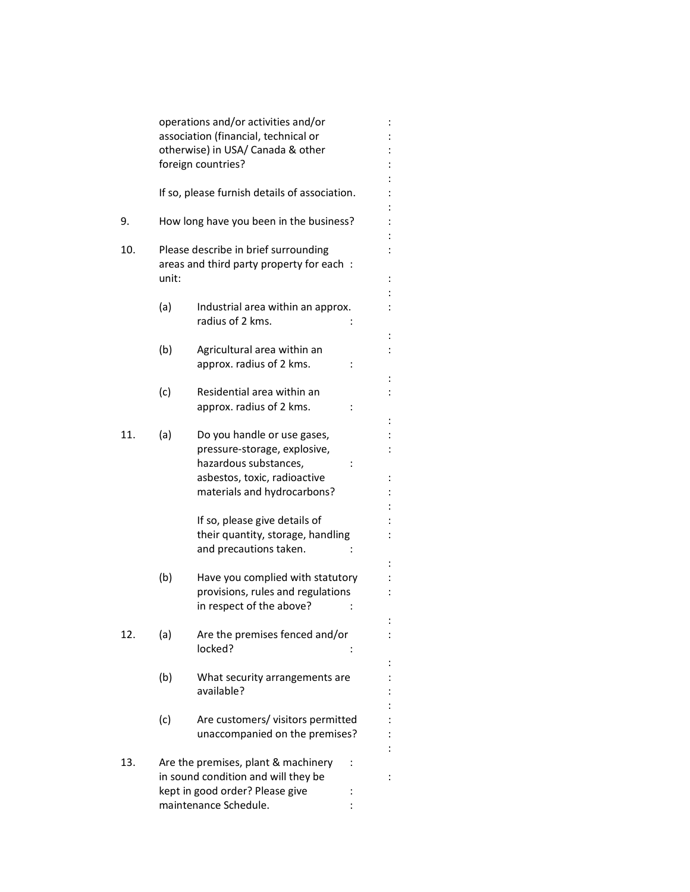|     |       | operations and/or activities and/or<br>association (financial, technical or                                                                         |  |
|-----|-------|-----------------------------------------------------------------------------------------------------------------------------------------------------|--|
|     |       | otherwise) in USA/ Canada & other<br>foreign countries?                                                                                             |  |
|     |       | If so, please furnish details of association.                                                                                                       |  |
| 9.  |       | How long have you been in the business?                                                                                                             |  |
| 10. | unit: | Please describe in brief surrounding<br>areas and third party property for each:                                                                    |  |
|     | (a)   | Industrial area within an approx.<br>radius of 2 kms.                                                                                               |  |
|     | (b)   | Agricultural area within an<br>approx. radius of 2 kms.                                                                                             |  |
|     | (c)   | Residential area within an<br>approx. radius of 2 kms.                                                                                              |  |
| 11. | (a)   | Do you handle or use gases,<br>pressure-storage, explosive,<br>hazardous substances,<br>asbestos, toxic, radioactive<br>materials and hydrocarbons? |  |
|     |       | If so, please give details of<br>their quantity, storage, handling<br>and precautions taken.                                                        |  |
|     | (b)   | Have you complied with statutory<br>provisions, rules and regulations<br>in respect of the above?                                                   |  |
| 12. | (a)   | Are the premises fenced and/or<br>locked?                                                                                                           |  |
|     | (b)   | What security arrangements are<br>available?                                                                                                        |  |
|     | (c)   | Are customers/ visitors permitted<br>unaccompanied on the premises?                                                                                 |  |
| 13. |       | Are the premises, plant & machinery<br>in sound condition and will they be<br>kept in good order? Please give<br>maintenance Schedule.              |  |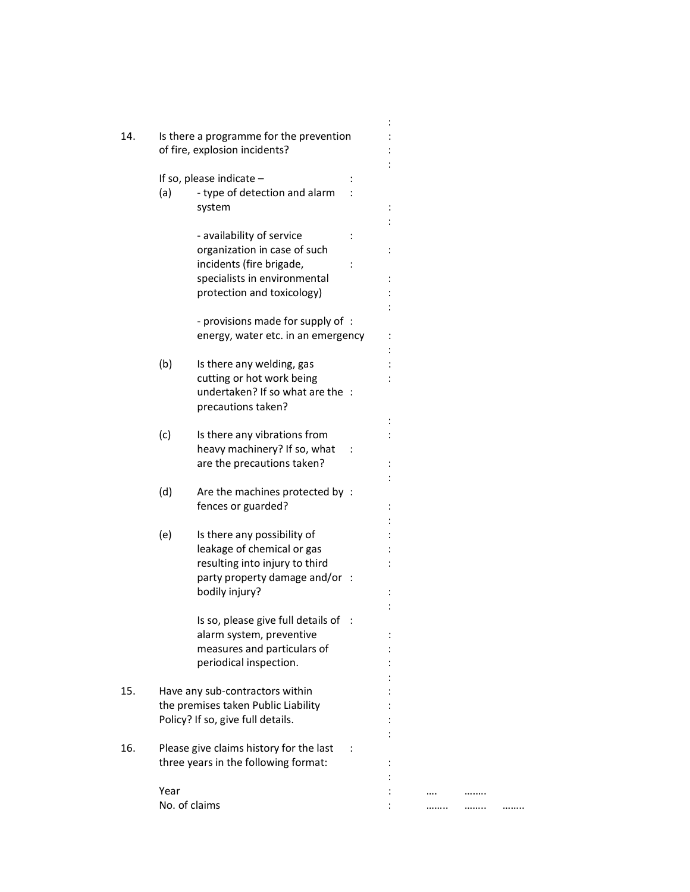| 14. | Is there a programme for the prevention |                                         |  |  |  |
|-----|-----------------------------------------|-----------------------------------------|--|--|--|
|     |                                         | of fire, explosion incidents?           |  |  |  |
|     |                                         |                                         |  |  |  |
|     |                                         | If so, please indicate $-$              |  |  |  |
|     | (a)                                     | - type of detection and alarm           |  |  |  |
|     |                                         | system                                  |  |  |  |
|     |                                         |                                         |  |  |  |
|     |                                         | - availability of service               |  |  |  |
|     |                                         | organization in case of such            |  |  |  |
|     |                                         | incidents (fire brigade,                |  |  |  |
|     |                                         | specialists in environmental            |  |  |  |
|     |                                         | protection and toxicology)              |  |  |  |
|     |                                         |                                         |  |  |  |
|     |                                         | - provisions made for supply of :       |  |  |  |
|     |                                         | energy, water etc. in an emergency      |  |  |  |
|     |                                         |                                         |  |  |  |
|     | (b)                                     | Is there any welding, gas               |  |  |  |
|     |                                         | cutting or hot work being               |  |  |  |
|     |                                         | undertaken? If so what are the :        |  |  |  |
|     |                                         |                                         |  |  |  |
|     |                                         | precautions taken?                      |  |  |  |
|     |                                         |                                         |  |  |  |
|     | (c)                                     | Is there any vibrations from            |  |  |  |
|     |                                         | heavy machinery? If so, what            |  |  |  |
|     |                                         | are the precautions taken?              |  |  |  |
|     |                                         |                                         |  |  |  |
|     | (d)                                     | Are the machines protected by :         |  |  |  |
|     |                                         | fences or guarded?                      |  |  |  |
|     |                                         |                                         |  |  |  |
|     | (e)                                     | Is there any possibility of             |  |  |  |
|     |                                         | leakage of chemical or gas              |  |  |  |
|     |                                         | resulting into injury to third          |  |  |  |
|     |                                         | party property damage and/or :          |  |  |  |
|     |                                         | bodily injury?                          |  |  |  |
|     |                                         |                                         |  |  |  |
|     |                                         | Is so, please give full details of :    |  |  |  |
|     |                                         | alarm system, preventive                |  |  |  |
|     |                                         | measures and particulars of             |  |  |  |
|     |                                         | periodical inspection.                  |  |  |  |
|     |                                         |                                         |  |  |  |
| 15. |                                         | Have any sub-contractors within         |  |  |  |
|     |                                         | the premises taken Public Liability     |  |  |  |
|     |                                         | Policy? If so, give full details.       |  |  |  |
|     |                                         |                                         |  |  |  |
| 16. |                                         | Please give claims history for the last |  |  |  |
|     |                                         | three years in the following format:    |  |  |  |
|     |                                         |                                         |  |  |  |
|     | Year                                    |                                         |  |  |  |
|     |                                         |                                         |  |  |  |
|     | No. of claims                           |                                         |  |  |  |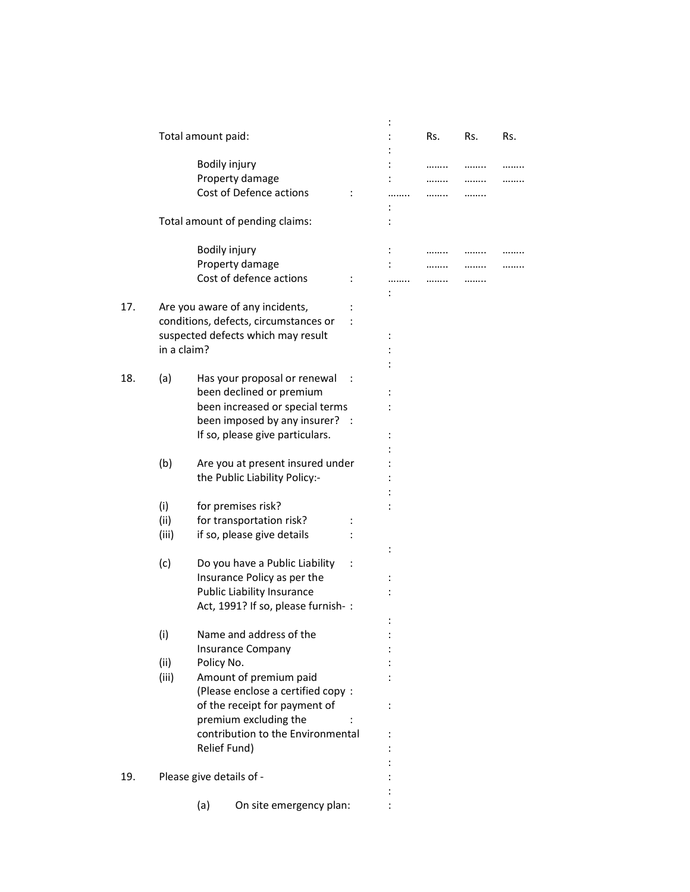|     |             | Total amount paid: |                                       |  | Rs. | Rs. | Rs. |
|-----|-------------|--------------------|---------------------------------------|--|-----|-----|-----|
|     |             |                    | Bodily injury                         |  |     |     |     |
|     |             |                    | Property damage                       |  |     |     |     |
|     |             |                    | Cost of Defence actions               |  |     |     |     |
|     |             |                    |                                       |  |     |     |     |
|     |             |                    | Total amount of pending claims:       |  |     |     |     |
|     |             |                    | Bodily injury                         |  |     |     |     |
|     |             |                    | Property damage                       |  |     |     |     |
|     |             |                    | Cost of defence actions               |  |     |     |     |
|     |             |                    |                                       |  |     |     |     |
| 17. |             |                    | Are you aware of any incidents,       |  |     |     |     |
|     |             |                    | conditions, defects, circumstances or |  |     |     |     |
|     |             |                    | suspected defects which may result    |  |     |     |     |
|     | in a claim? |                    |                                       |  |     |     |     |
|     |             |                    |                                       |  |     |     |     |
| 18. | (a)         |                    | Has your proposal or renewal          |  |     |     |     |
|     |             |                    | been declined or premium              |  |     |     |     |
|     |             |                    | been increased or special terms       |  |     |     |     |
|     |             |                    | been imposed by any insurer? :        |  |     |     |     |
|     |             |                    | If so, please give particulars.       |  |     |     |     |
|     |             |                    |                                       |  |     |     |     |
|     | (b)         |                    | Are you at present insured under      |  |     |     |     |
|     |             |                    | the Public Liability Policy:-         |  |     |     |     |
|     |             |                    |                                       |  |     |     |     |
|     | (i)         |                    | for premises risk?                    |  |     |     |     |
|     | (ii)        |                    | for transportation risk?              |  |     |     |     |
|     |             |                    |                                       |  |     |     |     |
|     | (iii)       |                    | if so, please give details            |  |     |     |     |
|     | (c)         |                    | Do you have a Public Liability        |  |     |     |     |
|     |             |                    | Insurance Policy as per the           |  |     |     |     |
|     |             |                    | Public Liability Insurance            |  |     |     |     |
|     |             |                    | Act, 1991? If so, please furnish-:    |  |     |     |     |
|     |             |                    |                                       |  |     |     |     |
|     | (i)         |                    | Name and address of the               |  |     |     |     |
|     |             |                    | <b>Insurance Company</b>              |  |     |     |     |
|     | (ii)        | Policy No.         |                                       |  |     |     |     |
|     |             |                    |                                       |  |     |     |     |
|     | (iii)       |                    | Amount of premium paid                |  |     |     |     |
|     |             |                    | (Please enclose a certified copy:     |  |     |     |     |
|     |             |                    | of the receipt for payment of         |  |     |     |     |
|     |             |                    | premium excluding the                 |  |     |     |     |
|     |             |                    | contribution to the Environmental     |  |     |     |     |
|     |             |                    | Relief Fund)                          |  |     |     |     |
|     |             |                    |                                       |  |     |     |     |
| 19. |             |                    | Please give details of -              |  |     |     |     |
|     |             |                    |                                       |  |     |     |     |
|     |             | (a)                | On site emergency plan:               |  |     |     |     |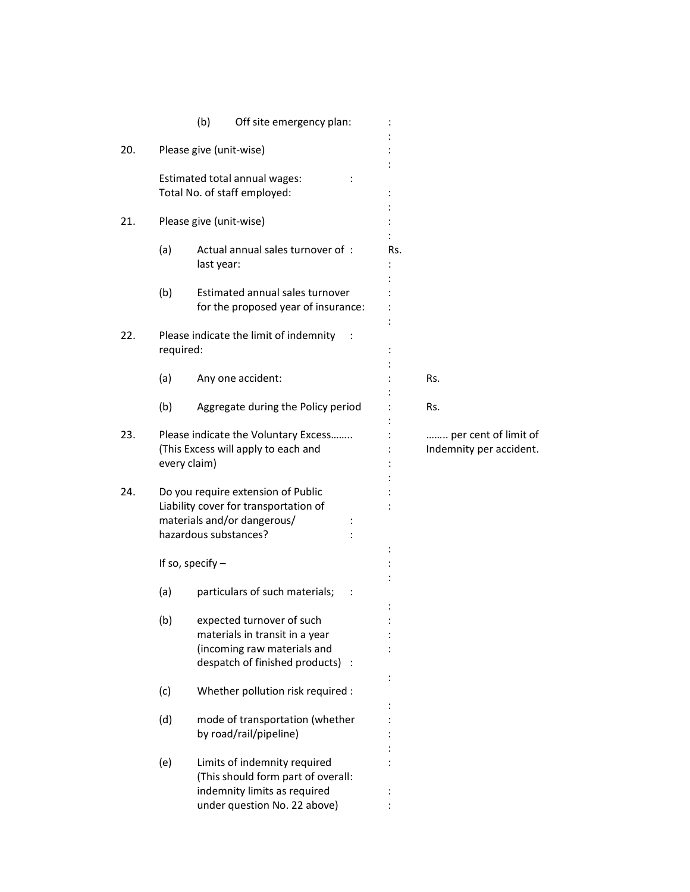|     |           | (b)<br>Off site emergency plan:                                                                                                     |     |                                                 |
|-----|-----------|-------------------------------------------------------------------------------------------------------------------------------------|-----|-------------------------------------------------|
| 20. |           | Please give (unit-wise)                                                                                                             |     |                                                 |
|     |           | Estimated total annual wages:<br>Total No. of staff employed:                                                                       |     |                                                 |
| 21. |           | Please give (unit-wise)                                                                                                             |     |                                                 |
|     | (a)       | Actual annual sales turnover of:<br>last year:                                                                                      | Rs. |                                                 |
|     | (b)       | Estimated annual sales turnover<br>for the proposed year of insurance:                                                              |     |                                                 |
| 22. | required: | Please indicate the limit of indemnity                                                                                              |     |                                                 |
|     | (a)       | Any one accident:                                                                                                                   |     | Rs.                                             |
|     | (b)       | Aggregate during the Policy period                                                                                                  |     | Rs.                                             |
| 23. |           | Please indicate the Voluntary Excess<br>(This Excess will apply to each and<br>every claim)                                         |     | per cent of limit of<br>Indemnity per accident. |
| 24. |           | Do you require extension of Public<br>Liability cover for transportation of<br>materials and/or dangerous/<br>hazardous substances? |     |                                                 |
|     |           | If so, specify $-$                                                                                                                  |     |                                                 |
|     | (a)       | particulars of such materials;                                                                                                      |     |                                                 |
|     | (b)       | expected turnover of such<br>materials in transit in a year<br>(incoming raw materials and<br>despatch of finished products) :      |     |                                                 |
|     | (c)       | Whether pollution risk required :                                                                                                   |     |                                                 |
|     | (d)       | mode of transportation (whether<br>by road/rail/pipeline)                                                                           |     |                                                 |
|     | (e)       | Limits of indemnity required<br>(This should form part of overall:<br>indemnity limits as required<br>under question No. 22 above)  |     |                                                 |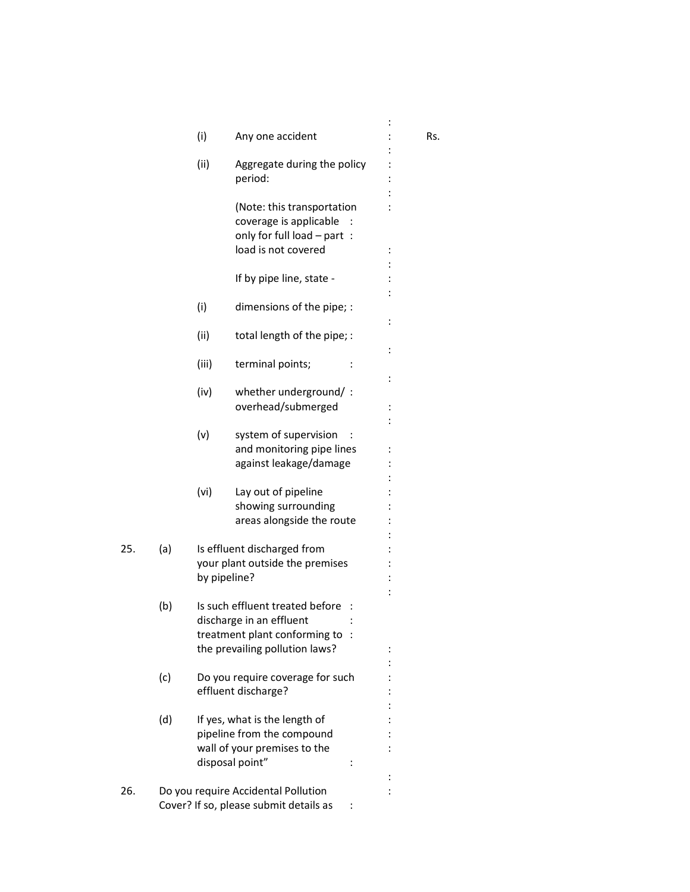|     |     | (i)          | Any one accident                                                                                                                 | Rs. |
|-----|-----|--------------|----------------------------------------------------------------------------------------------------------------------------------|-----|
|     |     | (ii)         | Aggregate during the policy<br>period:                                                                                           |     |
|     |     |              | (Note: this transportation<br>coverage is applicable                                                                             |     |
|     |     |              | only for full load - part :<br>load is not covered                                                                               |     |
|     |     |              | If by pipe line, state -                                                                                                         |     |
|     |     | (i)          | dimensions of the pipe; :                                                                                                        |     |
|     |     | (ii)         | total length of the pipe; :                                                                                                      |     |
|     |     | (iii)        | terminal points;                                                                                                                 |     |
|     |     | (iv)         | whether underground/:<br>overhead/submerged                                                                                      |     |
|     |     | (v)          | system of supervision<br>and monitoring pipe lines<br>against leakage/damage                                                     |     |
|     |     | (vi)         | Lay out of pipeline<br>showing surrounding<br>areas alongside the route                                                          |     |
| 25. | (a) | by pipeline? | Is effluent discharged from<br>your plant outside the premises                                                                   |     |
|     | (b) |              | Is such effluent treated before<br>discharge in an effluent<br>treatment plant conforming to :<br>the prevailing pollution laws? |     |
|     | (c) |              | Do you require coverage for such<br>effluent discharge?                                                                          |     |
|     | (d) |              | If yes, what is the length of<br>pipeline from the compound<br>wall of your premises to the<br>disposal point"                   |     |
| 26. |     |              | Do you require Accidental Pollution<br>Cover? If so, please submit details as                                                    |     |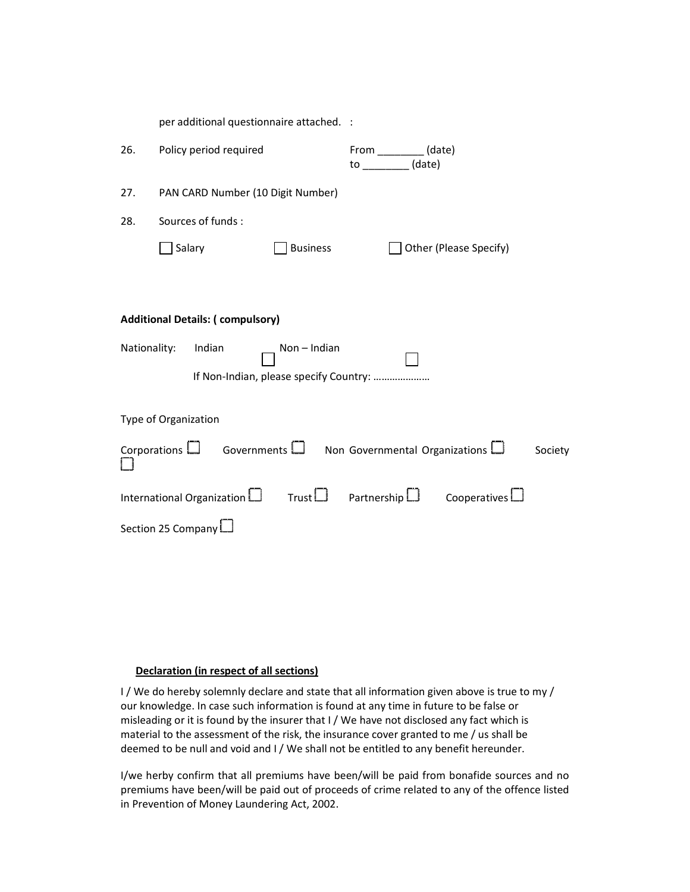|     | per additional questionnaire attached. :                                                                                    |                                 |                                                                               |                     |         |  |  |
|-----|-----------------------------------------------------------------------------------------------------------------------------|---------------------------------|-------------------------------------------------------------------------------|---------------------|---------|--|--|
| 26. | Policy period required                                                                                                      |                                 | From $\begin{array}{c} \boxed{\phantom{2}} \end{array}$ (date)<br>$to$ (date) |                     |         |  |  |
| 27. | PAN CARD Number (10 Digit Number)                                                                                           |                                 |                                                                               |                     |         |  |  |
| 28. | Sources of funds:                                                                                                           |                                 |                                                                               |                     |         |  |  |
|     | Salary                                                                                                                      | <b>Business</b>                 | Other (Please Specify)                                                        |                     |         |  |  |
|     |                                                                                                                             |                                 |                                                                               |                     |         |  |  |
|     | <b>Additional Details: (compulsory)</b><br>Nationality:<br>Indian<br>$Non-Indian$<br>If Non-Indian, please specify Country: |                                 |                                                                               |                     |         |  |  |
|     | Type of Organization                                                                                                        |                                 |                                                                               |                     |         |  |  |
|     | Corporations $\Box$ Governments $\Box$ Non Governmental Organizations $\Box$                                                |                                 |                                                                               |                     | Society |  |  |
|     | International Organization L                                                                                                | $Trust \Box$ Partnership $\Box$ |                                                                               | Cooperatives $\Box$ |         |  |  |
|     | Section 25 Company                                                                                                          |                                 |                                                                               |                     |         |  |  |

## Declaration (in respect of all sections)

I / We do hereby solemnly declare and state that all information given above is true to my / our knowledge. In case such information is found at any time in future to be false or misleading or it is found by the insurer that I / We have not disclosed any fact which is material to the assessment of the risk, the insurance cover granted to me / us shall be deemed to be null and void and I / We shall not be entitled to any benefit hereunder.

I/we herby confirm that all premiums have been/will be paid from bonafide sources and no premiums have been/will be paid out of proceeds of crime related to any of the offence listed in Prevention of Money Laundering Act, 2002.